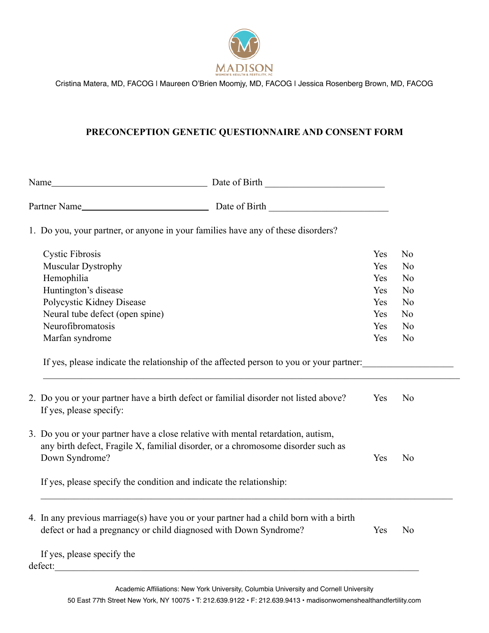

## **PRECONCEPTION GENETIC QUESTIONNAIRE AND CONSENT FORM**

| 1. Do you, your partner, or anyone in your families have any of these disorders?                                                                                                                                                                              |                                                                                         |     |                |
|---------------------------------------------------------------------------------------------------------------------------------------------------------------------------------------------------------------------------------------------------------------|-----------------------------------------------------------------------------------------|-----|----------------|
| <b>Cystic Fibrosis</b>                                                                                                                                                                                                                                        |                                                                                         | Yes | N <sub>o</sub> |
| Muscular Dystrophy                                                                                                                                                                                                                                            |                                                                                         | Yes | N <sub>o</sub> |
| Hemophilia                                                                                                                                                                                                                                                    |                                                                                         | Yes | N <sub>0</sub> |
| Huntington's disease                                                                                                                                                                                                                                          |                                                                                         | Yes | N <sub>o</sub> |
| Polycystic Kidney Disease                                                                                                                                                                                                                                     |                                                                                         | Yes | N <sub>o</sub> |
| Neural tube defect (open spine)                                                                                                                                                                                                                               |                                                                                         | Yes | N <sub>o</sub> |
| Neurofibromatosis                                                                                                                                                                                                                                             |                                                                                         | Yes | N <sub>o</sub> |
| Marfan syndrome                                                                                                                                                                                                                                               |                                                                                         | Yes | N <sub>o</sub> |
| 2. Do you or your partner have a birth defect or familial disorder not listed above?<br>If yes, please specify:                                                                                                                                               | If yes, please indicate the relationship of the affected person to you or your partner: | Yes | N <sub>o</sub> |
| 3. Do you or your partner have a close relative with mental retardation, autism,<br>any birth defect, Fragile X, familial disorder, or a chromosome disorder such as<br>Down Syndrome?<br>If yes, please specify the condition and indicate the relationship: |                                                                                         | Yes | N <sub>0</sub> |
| 4. In any previous marriage(s) have you or your partner had a child born with a birth<br>defect or had a pregnancy or child diagnosed with Down Syndrome?<br>If yes, please specify the                                                                       |                                                                                         | Yes | N <sub>o</sub> |
| defect:                                                                                                                                                                                                                                                       |                                                                                         |     |                |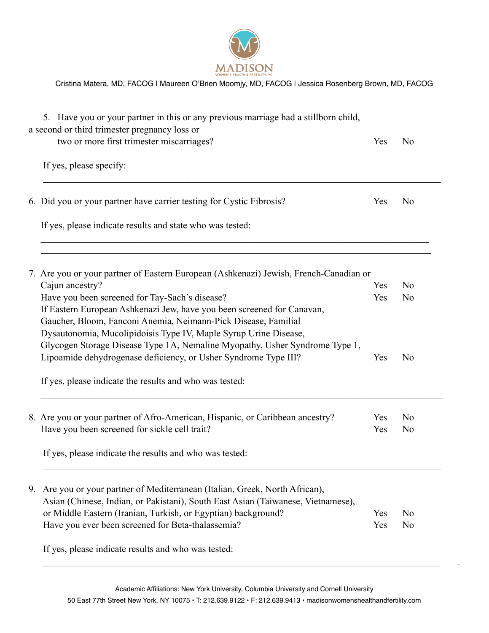

|    | 5. Have you or your partner in this or any previous marriage had a stillborn child,<br>a second or third trimester pregnancy loss or<br>two or more first trimester miscarriages? | Yes | N <sub>0</sub> |
|----|-----------------------------------------------------------------------------------------------------------------------------------------------------------------------------------|-----|----------------|
|    | If yes, please specify:                                                                                                                                                           |     |                |
|    | 6. Did you or your partner have carrier testing for Cystic Fibrosis?                                                                                                              | Yes | N <sub>0</sub> |
|    | If yes, please indicate results and state who was tested:                                                                                                                         |     |                |
|    | 7. Are you or your partner of Eastern European (Ashkenazi) Jewish, French-Canadian or                                                                                             |     |                |
|    | Cajun ancestry?                                                                                                                                                                   | Yes | No             |
|    | Have you been screened for Tay-Sach's disease?                                                                                                                                    | Yes | N <sub>0</sub> |
|    | If Eastern European Ashkenazi Jew, have you been screened for Canavan,                                                                                                            |     |                |
|    | Gaucher, Bloom, Fanconi Anemia, Neimann-Pick Disease, Familial                                                                                                                    |     |                |
|    | Dysautonomia, Mucolipidoisis Type IV, Maple Syrup Urine Disease,                                                                                                                  |     |                |
|    | Glycogen Storage Disease Type 1A, Nemaline Myopathy, Usher Syndrome Type 1,                                                                                                       |     |                |
|    | Lipoamide dehydrogenase deficiency, or Usher Syndrome Type III?                                                                                                                   | Yes | N <sub>0</sub> |
|    | If yes, please indicate the results and who was tested:                                                                                                                           |     |                |
|    | 8. Are you or your partner of Afro-American, Hispanic, or Caribbean ancestry?                                                                                                     | Yes | N <sub>0</sub> |
|    | Have you been screened for sickle cell trait?                                                                                                                                     | Yes | N <sub>0</sub> |
|    | If yes, please indicate the results and who was tested:                                                                                                                           |     |                |
| 9. | Are you or your partner of Mediterranean (Italian, Greek, North African),                                                                                                         |     |                |
|    | Asian (Chinese, Indian, or Pakistani), South East Asian (Taiwanese, Vietnamese),                                                                                                  |     |                |
|    | or Middle Eastern (Iranian, Turkish, or Egyptian) background?                                                                                                                     | Yes | N <sub>0</sub> |
|    | Have you ever been screened for Beta-thalassemia?                                                                                                                                 | Yes | N <sub>0</sub> |
|    | If yes, please indicate results and who was tested:                                                                                                                               |     |                |

 $\mathcal{L}_\mathcal{L} = \{ \mathcal{L}_\mathcal{L} = \{ \mathcal{L}_\mathcal{L} = \{ \mathcal{L}_\mathcal{L} = \{ \mathcal{L}_\mathcal{L} = \{ \mathcal{L}_\mathcal{L} = \{ \mathcal{L}_\mathcal{L} = \{ \mathcal{L}_\mathcal{L} = \{ \mathcal{L}_\mathcal{L} = \{ \mathcal{L}_\mathcal{L} = \{ \mathcal{L}_\mathcal{L} = \{ \mathcal{L}_\mathcal{L} = \{ \mathcal{L}_\mathcal{L} = \{ \mathcal{L}_\mathcal{L} = \{ \mathcal{L}_\mathcal{$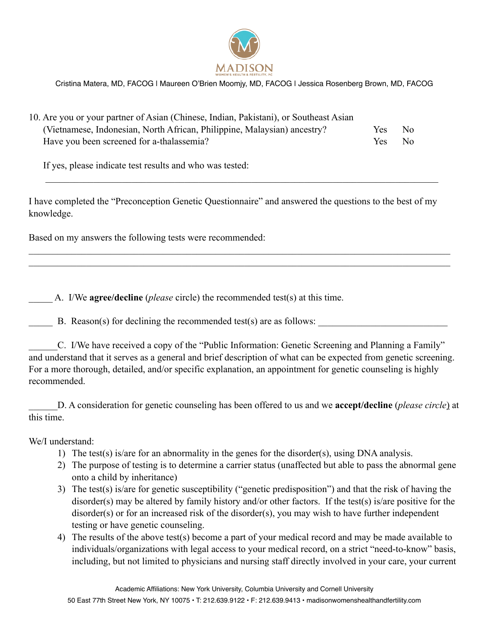

| 10. Are you or your partner of Asian (Chinese, Indian, Pakistani), or Southeast Asian |            |     |
|---------------------------------------------------------------------------------------|------------|-----|
| (Vietnamese, Indonesian, North African, Philippine, Malaysian) ancestry?              | Yes.       | No. |
| Have you been screened for a-thalassemia?                                             | <b>Yes</b> | No. |

If yes, please indicate test results and who was tested:

I have completed the "Preconception Genetic Questionnaire" and answered the questions to the best of my knowledge.

 $\mathcal{L}_\mathcal{L} = \mathcal{L}_\mathcal{L} = \mathcal{L}_\mathcal{L} = \mathcal{L}_\mathcal{L} = \mathcal{L}_\mathcal{L} = \mathcal{L}_\mathcal{L} = \mathcal{L}_\mathcal{L} = \mathcal{L}_\mathcal{L} = \mathcal{L}_\mathcal{L} = \mathcal{L}_\mathcal{L} = \mathcal{L}_\mathcal{L} = \mathcal{L}_\mathcal{L} = \mathcal{L}_\mathcal{L} = \mathcal{L}_\mathcal{L} = \mathcal{L}_\mathcal{L} = \mathcal{L}_\mathcal{L} = \mathcal{L}_\mathcal{L}$  $\mathcal{L}_\mathcal{L} = \mathcal{L}_\mathcal{L} = \mathcal{L}_\mathcal{L} = \mathcal{L}_\mathcal{L} = \mathcal{L}_\mathcal{L} = \mathcal{L}_\mathcal{L} = \mathcal{L}_\mathcal{L} = \mathcal{L}_\mathcal{L} = \mathcal{L}_\mathcal{L} = \mathcal{L}_\mathcal{L} = \mathcal{L}_\mathcal{L} = \mathcal{L}_\mathcal{L} = \mathcal{L}_\mathcal{L} = \mathcal{L}_\mathcal{L} = \mathcal{L}_\mathcal{L} = \mathcal{L}_\mathcal{L} = \mathcal{L}_\mathcal{L}$ 

 $\mathcal{L}_\mathcal{L} = \{ \mathcal{L}_\mathcal{L} = \{ \mathcal{L}_\mathcal{L} = \{ \mathcal{L}_\mathcal{L} = \{ \mathcal{L}_\mathcal{L} = \{ \mathcal{L}_\mathcal{L} = \{ \mathcal{L}_\mathcal{L} = \{ \mathcal{L}_\mathcal{L} = \{ \mathcal{L}_\mathcal{L} = \{ \mathcal{L}_\mathcal{L} = \{ \mathcal{L}_\mathcal{L} = \{ \mathcal{L}_\mathcal{L} = \{ \mathcal{L}_\mathcal{L} = \{ \mathcal{L}_\mathcal{L} = \{ \mathcal{L}_\mathcal{$ 

Based on my answers the following tests were recommended:

\_\_\_\_\_ A. I/We **agree/decline** (*please* circle) the recommended test(s) at this time.

B. Reason(s) for declining the recommended test(s) are as follows:

\_\_\_\_\_\_C. I/We have received a copy of the "Public Information: Genetic Screening and Planning a Family" and understand that it serves as a general and brief description of what can be expected from genetic screening. For a more thorough, detailed, and/or specific explanation, an appointment for genetic counseling is highly recommended.

\_\_\_\_\_\_D. A consideration for genetic counseling has been offered to us and we **accept/decline** (*please circle*) at this time.

We/I understand:

- 1) The test(s) is/are for an abnormality in the genes for the disorder(s), using DNA analysis.
- 2) The purpose of testing is to determine a carrier status (unaffected but able to pass the abnormal gene onto a child by inheritance)
- 3) The test(s) is/are for genetic susceptibility ("genetic predisposition") and that the risk of having the disorder(s) may be altered by family history and/or other factors. If the test(s) is/are positive for the disorder(s) or for an increased risk of the disorder(s), you may wish to have further independent testing or have genetic counseling.
- 4) The results of the above test(s) become a part of your medical record and may be made available to individuals/organizations with legal access to your medical record, on a strict "need-to-know" basis, including, but not limited to physicians and nursing staff directly involved in your care, your current